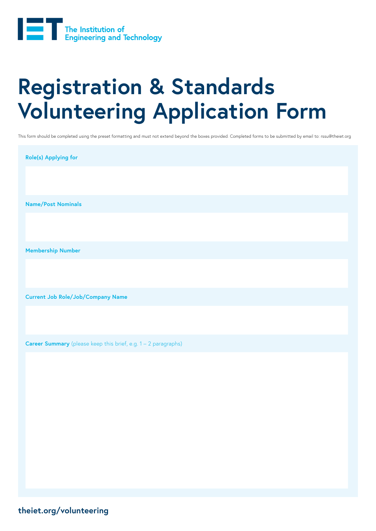

## **Registration & Standards Volunteering Application Form**

This form should be completed using the preset formatting and must not extend beyond the boxes provided. Completed forms to be submitted by email to: rssu@theiet.org

| Role(s) Applying for                                                  |
|-----------------------------------------------------------------------|
|                                                                       |
| <b>Name/Post Nominals</b>                                             |
|                                                                       |
| <b>Membership Number</b>                                              |
|                                                                       |
| <b>Current Job Role/Job/Company Name</b>                              |
|                                                                       |
| <b>Career Summary</b> (please keep this brief, e.g. 1 - 2 paragraphs) |
|                                                                       |
|                                                                       |

**theiet.org/volunteering**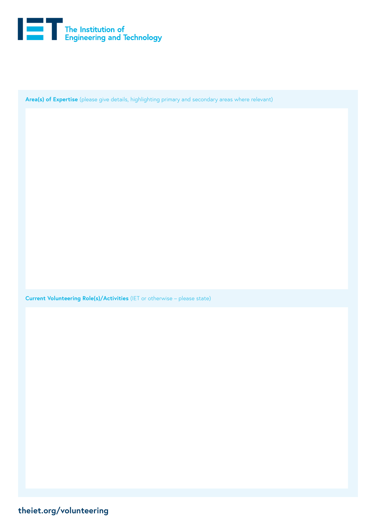

**Area(s) of Expertise** (please give details, highlighting primary and secondary areas where relevant)

**Current Volunteering Role(s)/Activities** (IET or otherwise – please state)

**theiet.org/volunteering**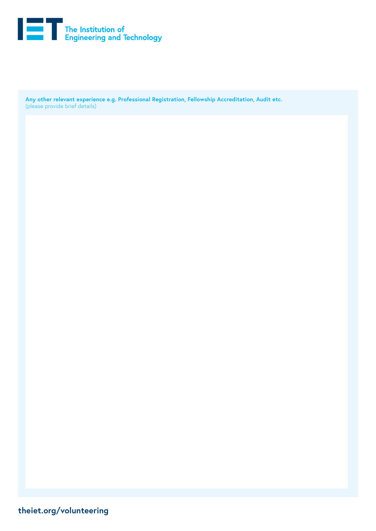

**Any other relevant experience e.g. Professional Registration, Fellowship Accreditation, Audit etc.** (please provide brief details)